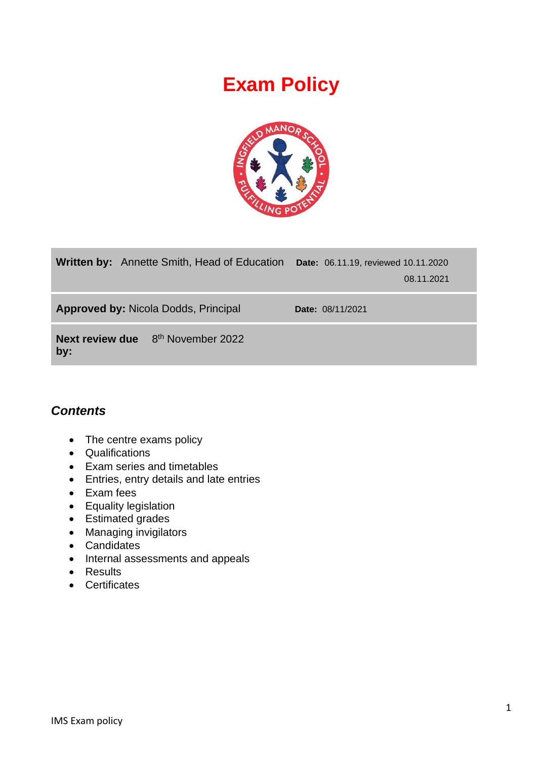# **Exam Policy**



| <b>Written by:</b> Annette Smith, Head of Education         | Date: 06.11.19, reviewed 10.11.2020 | 08.11.2021 |
|-------------------------------------------------------------|-------------------------------------|------------|
| <b>Approved by: Nicola Dodds, Principal</b>                 | <b>Date: 08/11/2021</b>             |            |
| <b>Next review due</b> 8 <sup>th</sup> November 2022<br>by: |                                     |            |

# *Contents*

- The centre exams policy
- Qualifications
- Exam series and timetables
- Entries, entry details and late entries
- Exam fees
- Equality legislation
- Estimated grades
- Managing invigilators
- Candidates
- Internal assessments and appeals
- Results
- Certificates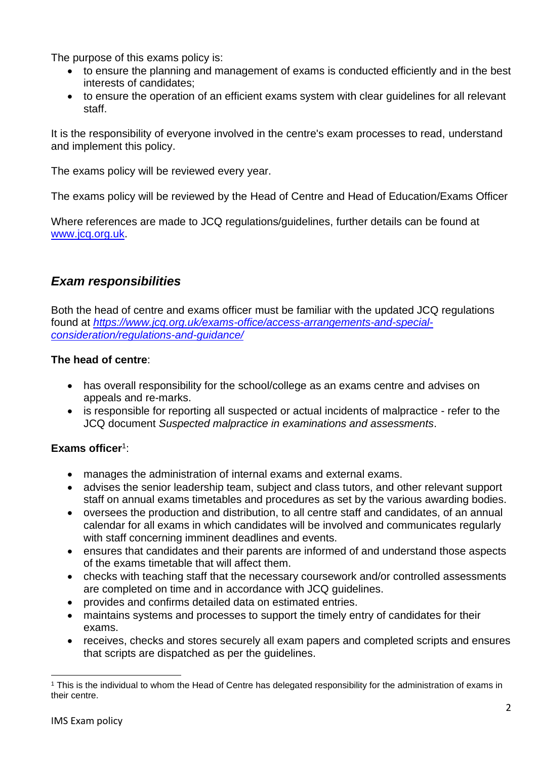The purpose of this exams policy is:

- to ensure the planning and management of exams is conducted efficiently and in the best interests of candidates;
- to ensure the operation of an efficient exams system with clear quidelines for all relevant staff.

It is the responsibility of everyone involved in the centre's exam processes to read, understand and implement this policy.

The exams policy will be reviewed every year.

The exams policy will be reviewed by the Head of Centre and Head of Education/Exams Officer

Where references are made to JCQ regulations/guidelines, further details can be found at [www.jcq.org.uk.](http://www.jcq.org.uk/)

# *Exam responsibilities*

Both the head of centre and exams officer must be familiar with the updated JCQ regulations found at *[https://www.jcq.org.uk/exams-office/access-arrangements-and-special](https://www.jcq.org.uk/exams-office/access-arrangements-and-special-consideration/regulations-and-guidance/)[consideration/regulations-and-guidance/](https://www.jcq.org.uk/exams-office/access-arrangements-and-special-consideration/regulations-and-guidance/)*

#### **The head of centre**:

- has overall responsibility for the school/college as an exams centre and advises on appeals and re-marks.
- is responsible for reporting all suspected or actual incidents of malpractice refer to the JCQ document *Suspected malpractice in examinations and assessments*.

#### Exams officer<sup>1</sup>:

- manages the administration of internal exams and external exams.
- advises the senior leadership team, subject and class tutors, and other relevant support staff on annual exams timetables and procedures as set by the various awarding bodies.
- oversees the production and distribution, to all centre staff and candidates, of an annual calendar for all exams in which candidates will be involved and communicates regularly with staff concerning imminent deadlines and events.
- ensures that candidates and their parents are informed of and understand those aspects of the exams timetable that will affect them.
- checks with teaching staff that the necessary coursework and/or controlled assessments are completed on time and in accordance with JCQ guidelines.
- provides and confirms detailed data on estimated entries.
- maintains systems and processes to support the timely entry of candidates for their exams.
- receives, checks and stores securely all exam papers and completed scripts and ensures that scripts are dispatched as per the guidelines.

<sup>&</sup>lt;sup>1</sup> This is the individual to whom the Head of Centre has delegated responsibility for the administration of exams in their centre.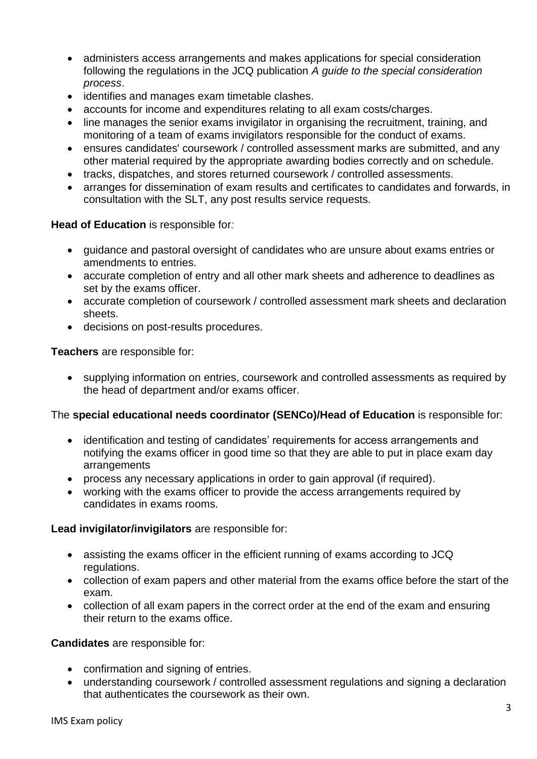- administers access arrangements and makes applications for special consideration following the regulations in the JCQ publication *A guide to the special consideration process*.
- identifies and manages exam timetable clashes.
- accounts for income and expenditures relating to all exam costs/charges.
- line manages the senior exams invigilator in organising the recruitment, training, and monitoring of a team of exams invigilators responsible for the conduct of exams.
- ensures candidates' coursework / controlled assessment marks are submitted, and any other material required by the appropriate awarding bodies correctly and on schedule.
- tracks, dispatches, and stores returned coursework / controlled assessments.
- arranges for dissemination of exam results and certificates to candidates and forwards, in consultation with the SLT, any post results service requests.

#### **Head of Education** is responsible for*:*

- guidance and pastoral oversight of candidates who are unsure about exams entries or amendments to entries.
- accurate completion of entry and all other mark sheets and adherence to deadlines as set by the exams officer.
- accurate completion of coursework / controlled assessment mark sheets and declaration sheets.
- decisions on post-results procedures.

**Teachers** are responsible for:

• supplying information on entries, coursework and controlled assessments as required by the head of department and/or exams officer.

#### The **special educational needs coordinator (SENCo)/Head of Education** is responsible for:

- identification and testing of candidates' requirements for access arrangements and notifying the exams officer in good time so that they are able to put in place exam day arrangements
- process any necessary applications in order to gain approval (if required).
- working with the exams officer to provide the access arrangements required by candidates in exams rooms.

#### **Lead invigilator/invigilators** are responsible for:

- assisting the exams officer in the efficient running of exams according to JCQ regulations.
- collection of exam papers and other material from the exams office before the start of the exam.
- collection of all exam papers in the correct order at the end of the exam and ensuring their return to the exams office.

#### **Candidates** are responsible for:

- confirmation and signing of entries.
- understanding coursework / controlled assessment regulations and signing a declaration that authenticates the coursework as their own.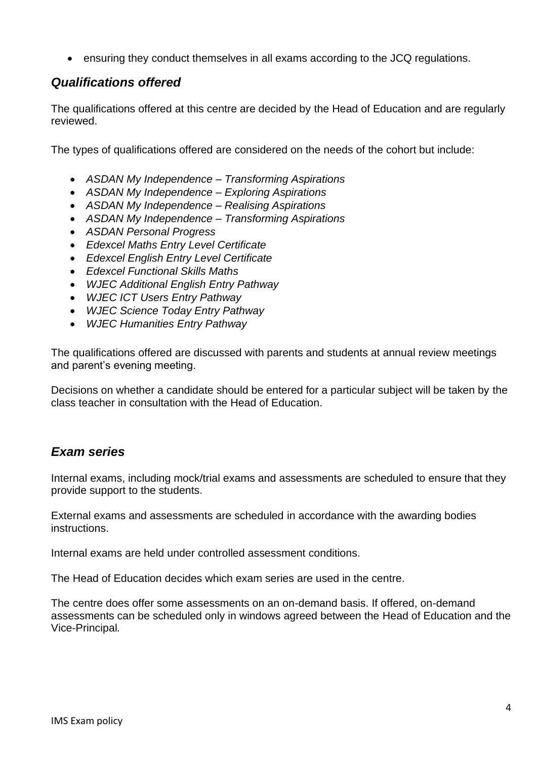• ensuring they conduct themselves in all exams according to the JCQ regulations.

## *Qualifications offered*

The qualifications offered at this centre are decided by the Head of Education and are regularly reviewed.

The types of qualifications offered are considered on the needs of the cohort but include:

- *ASDAN My Independence – Transforming Aspirations*
- *ASDAN My Independence – Exploring Aspirations*
- *ASDAN My Independence – Realising Aspirations*
- *ASDAN My Independence – Transforming Aspirations*
- *ASDAN Personal Progress*
- *Edexcel Maths Entry Level Certificate*
- *Edexcel English Entry Level Certificate*
- *Edexcel Functional Skills Maths*
- *WJEC Additional English Entry Pathway*
- *WJEC ICT Users Entry Pathway*
- *WJEC Science Today Entry Pathway*
- *WJEC Humanities Entry Pathway*

The qualifications offered are discussed with parents and students at annual review meetings and parent's evening meeting.

Decisions on whether a candidate should be entered for a particular subject will be taken by the class teacher in consultation with the Head of Education.

## *Exam series*

Internal exams, including mock/trial exams and assessments are scheduled to ensure that they provide support to the students.

External exams and assessments are scheduled in accordance with the awarding bodies instructions.

Internal exams are held under controlled assessment conditions.

The Head of Education decides which exam series are used in the centre.

The centre does offer some assessments on an on-demand basis. If offered, on-demand assessments can be scheduled only in windows agreed between the Head of Education and the Vice-Principal*.*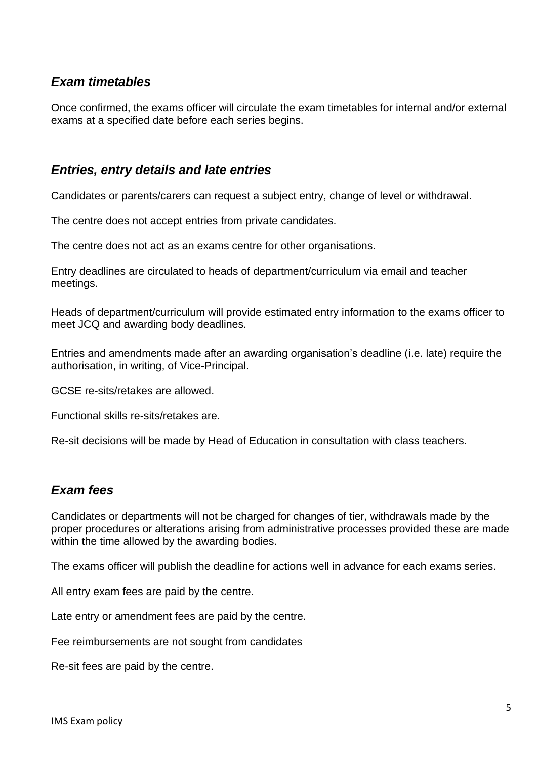## *Exam timetables*

Once confirmed, the exams officer will circulate the exam timetables for internal and/or external exams at a specified date before each series begins.

### *Entries, entry details and late entries*

Candidates or parents/carers can request a subject entry, change of level or withdrawal.

The centre does not accept entries from private candidates.

The centre does not act as an exams centre for other organisations.

Entry deadlines are circulated to heads of department/curriculum via email and teacher meetings.

Heads of department/curriculum will provide estimated entry information to the exams officer to meet JCQ and awarding body deadlines.

Entries and amendments made after an awarding organisation's deadline (i.e. late) require the authorisation, in writing, of Vice-Principal.

GCSE re-sits/retakes are allowed.

Functional skills re-sits/retakes are.

Re-sit decisions will be made by Head of Education in consultation with class teachers.

## *Exam fees*

Candidates or departments will not be charged for changes of tier, withdrawals made by the proper procedures or alterations arising from administrative processes provided these are made within the time allowed by the awarding bodies.

The exams officer will publish the deadline for actions well in advance for each exams series.

All entry exam fees are paid by the centre.

Late entry or amendment fees are paid by the centre.

Fee reimbursements are not sought from candidates

Re-sit fees are paid by the centre.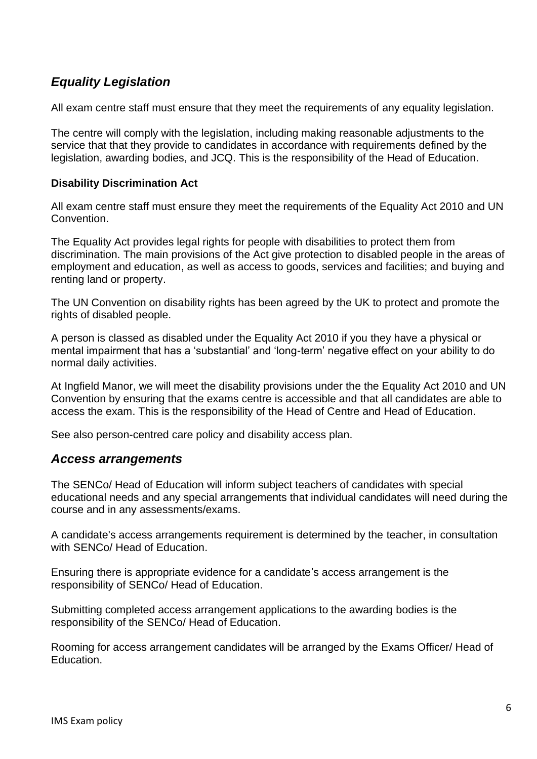# *Equality Legislation*

All exam centre staff must ensure that they meet the requirements of any equality legislation.

The centre will comply with the legislation, including making reasonable adjustments to the service that that they provide to candidates in accordance with requirements defined by the legislation, awarding bodies, and JCQ. This is the responsibility of the Head of Education.

#### **Disability Discrimination Act**

All exam centre staff must ensure they meet the requirements of the Equality Act 2010 and UN Convention.

The Equality Act provides legal rights for people with disabilities to protect them from discrimination. The main provisions of the Act give protection to disabled people in the areas of employment and education, as well as access to goods, services and facilities; and buying and renting land or property.

The UN Convention on disability rights has been agreed by the UK to protect and promote the rights of disabled people.

A person is classed as disabled under the Equality Act 2010 if you they have a physical or mental impairment that has a 'substantial' and 'long-term' negative effect on your ability to do normal daily activities.

At Ingfield Manor, we will meet the disability provisions under the the Equality Act 2010 and UN Convention by ensuring that the exams centre is accessible and that all candidates are able to access the exam. This is the responsibility of the Head of Centre and Head of Education.

See also person-centred care policy and disability access plan.

#### *Access arrangements*

The SENCo/ Head of Education will inform subject teachers of candidates with special educational needs and any special arrangements that individual candidates will need during the course and in any assessments/exams.

A candidate's access arrangements requirement is determined by the teacher, in consultation with SENCo/ Head of Education.

Ensuring there is appropriate evidence for a candidate's access arrangement is the responsibility of SENCo/ Head of Education.

Submitting completed access arrangement applications to the awarding bodies is the responsibility of the SENCo/ Head of Education.

Rooming for access arrangement candidates will be arranged by the Exams Officer/ Head of Education.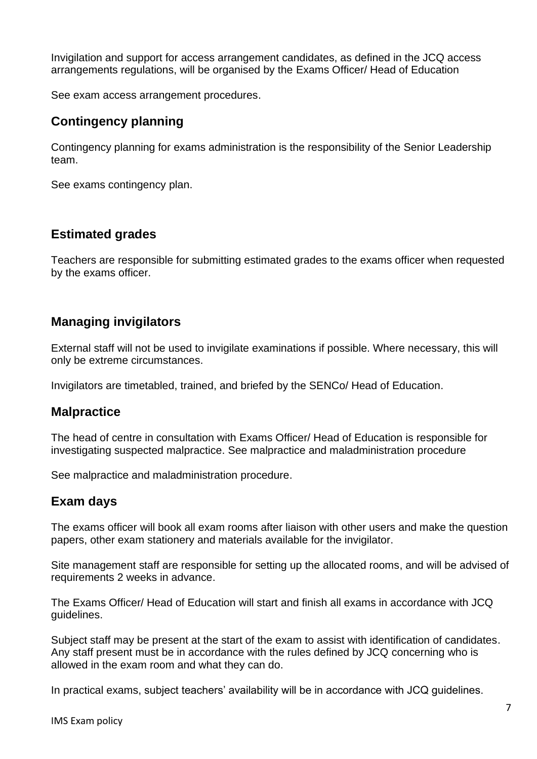Invigilation and support for access arrangement candidates, as defined in the JCQ access arrangements regulations, will be organised by the Exams Officer/ Head of Education

See exam access arrangement procedures.

## **Contingency planning**

Contingency planning for exams administration is the responsibility of the Senior Leadership team.

See exams contingency plan.

#### **Estimated grades**

Teachers are responsible for submitting estimated grades to the exams officer when requested by the exams officer.

#### **Managing invigilators**

External staff will not be used to invigilate examinations if possible. Where necessary, this will only be extreme circumstances.

Invigilators are timetabled, trained, and briefed by the SENCo/ Head of Education.

#### **Malpractice**

The head of centre in consultation with Exams Officer/ Head of Education is responsible for investigating suspected malpractice. See malpractice and maladministration procedure

See malpractice and maladministration procedure.

## **Exam days**

The exams officer will book all exam rooms after liaison with other users and make the question papers, other exam stationery and materials available for the invigilator.

Site management staff are responsible for setting up the allocated rooms, and will be advised of requirements 2 weeks in advance.

The Exams Officer/ Head of Education will start and finish all exams in accordance with JCQ guidelines.

Subject staff may be present at the start of the exam to assist with identification of candidates. Any staff present must be in accordance with the rules defined by JCQ concerning who is allowed in the exam room and what they can do.

In practical exams, subject teachers' availability will be in accordance with JCQ guidelines.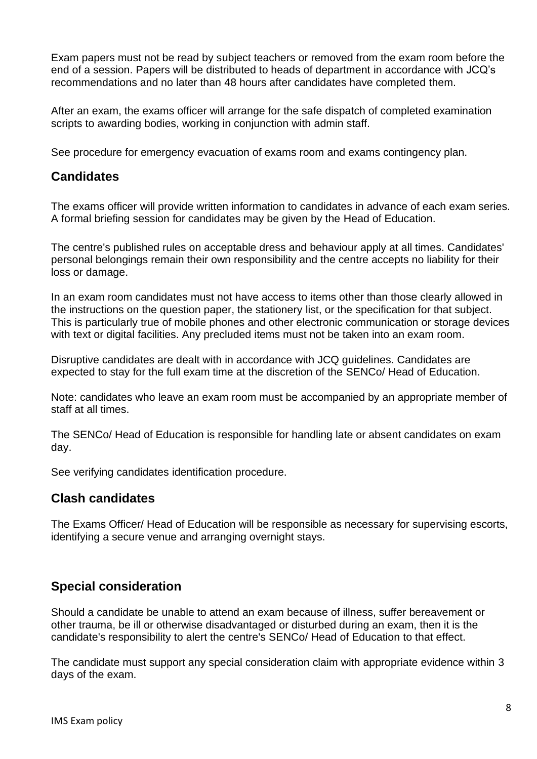Exam papers must not be read by subject teachers or removed from the exam room before the end of a session. Papers will be distributed to heads of department in accordance with JCQ's recommendations and no later than 48 hours after candidates have completed them.

After an exam, the exams officer will arrange for the safe dispatch of completed examination scripts to awarding bodies, working in conjunction with admin staff.

See procedure for emergency evacuation of exams room and exams contingency plan.

## **Candidates**

The exams officer will provide written information to candidates in advance of each exam series. A formal briefing session for candidates may be given by the Head of Education.

The centre's published rules on acceptable dress and behaviour apply at all times. Candidates' personal belongings remain their own responsibility and the centre accepts no liability for their loss or damage.

In an exam room candidates must not have access to items other than those clearly allowed in the instructions on the question paper, the stationery list, or the specification for that subject. This is particularly true of mobile phones and other electronic communication or storage devices with text or digital facilities. Any precluded items must not be taken into an exam room.

Disruptive candidates are dealt with in accordance with JCQ guidelines. Candidates are expected to stay for the full exam time at the discretion of the SENCo/ Head of Education.

Note: candidates who leave an exam room must be accompanied by an appropriate member of staff at all times.

The SENCo/ Head of Education is responsible for handling late or absent candidates on exam day.

See verifying candidates identification procedure.

## **Clash candidates**

The Exams Officer/ Head of Education will be responsible as necessary for supervising escorts, identifying a secure venue and arranging overnight stays.

## **Special consideration**

Should a candidate be unable to attend an exam because of illness, suffer bereavement or other trauma, be ill or otherwise disadvantaged or disturbed during an exam, then it is the candidate's responsibility to alert the centre's SENCo/ Head of Education to that effect.

The candidate must support any special consideration claim with appropriate evidence within 3 days of the exam.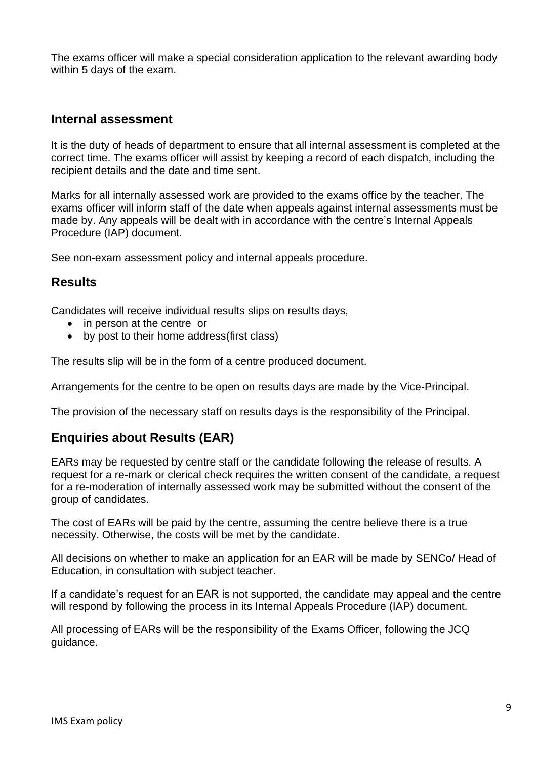The exams officer will make a special consideration application to the relevant awarding body within 5 days of the exam.

#### **Internal assessment**

It is the duty of heads of department to ensure that all internal assessment is completed at the correct time. The exams officer will assist by keeping a record of each dispatch, including the recipient details and the date and time sent.

Marks for all internally assessed work are provided to the exams office by the teacher. The exams officer will inform staff of the date when appeals against internal assessments must be made by. Any appeals will be dealt with in accordance with the centre's Internal Appeals Procedure (IAP) document.

See non-exam assessment policy and internal appeals procedure.

#### **Results**

Candidates will receive individual results slips on results days,

- in person at the centre or
- by post to their home address (first class)

The results slip will be in the form of a centre produced document.

Arrangements for the centre to be open on results days are made by the Vice-Principal.

The provision of the necessary staff on results days is the responsibility of the Principal.

## **Enquiries about Results (EAR)**

EARs may be requested by centre staff or the candidate following the release of results. A request for a re-mark or clerical check requires the written consent of the candidate, a request for a re-moderation of internally assessed work may be submitted without the consent of the group of candidates.

The cost of EARs will be paid by the centre, assuming the centre believe there is a true necessity. Otherwise, the costs will be met by the candidate.

All decisions on whether to make an application for an EAR will be made by SENCo/ Head of Education, in consultation with subject teacher.

If a candidate's request for an EAR is not supported, the candidate may appeal and the centre will respond by following the process in its Internal Appeals Procedure (IAP) document.

All processing of EARs will be the responsibility of the Exams Officer, following the JCQ guidance.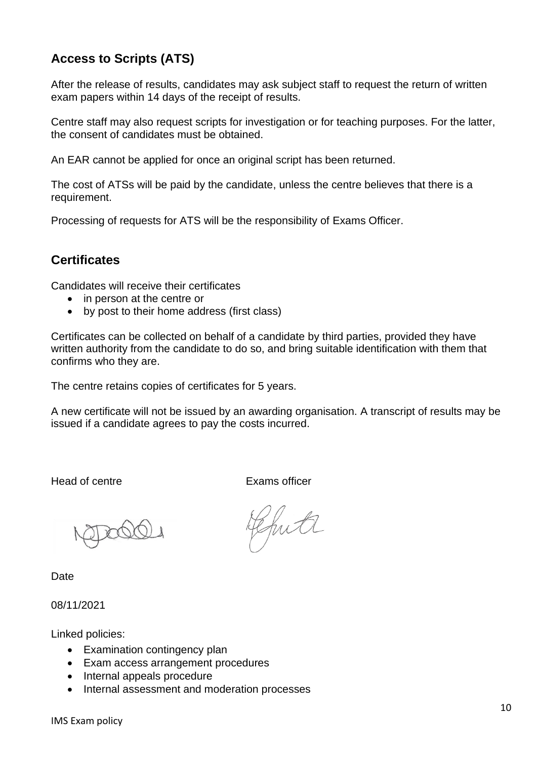# **Access to Scripts (ATS)**

After the release of results, candidates may ask subject staff to request the return of written exam papers within 14 days of the receipt of results.

Centre staff may also request scripts for investigation or for teaching purposes. For the latter, the consent of candidates must be obtained.

An EAR cannot be applied for once an original script has been returned.

The cost of ATSs will be paid by the candidate, unless the centre believes that there is a requirement.

Processing of requests for ATS will be the responsibility of Exams Officer.

# **Certificates**

Candidates will receive their certificates

- in person at the centre or
- by post to their home address (first class)

Certificates can be collected on behalf of a candidate by third parties, provided they have written authority from the candidate to do so, and bring suitable identification with them that confirms who they are.

The centre retains copies of certificates for 5 years.

A new certificate will not be issued by an awarding organisation. A transcript of results may be issued if a candidate agrees to pay the costs incurred.

Head of centre **Exams** officer

Date

08/11/2021

Linked policies:

- Examination contingency plan
- Exam access arrangement procedures
- Internal appeals procedure
- Internal assessment and moderation processes

Ghite